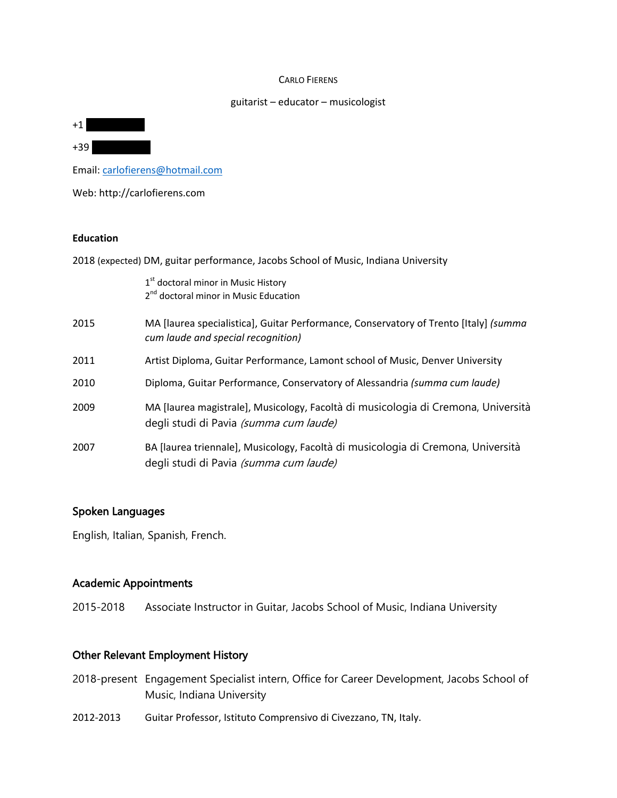#### CARLO FIERENS

#### guitarist – educator – musicologist

+39 380 5341519

 $+1$ 

Email: [carlofierens@hotmail.com](mailto:carlofierens@hotmail.com)

Web: http://carlofierens.com

### **Education**

2018 (expected) DM, guitar performance, Jacobs School of Music, Indiana University

|      | 1 <sup>st</sup> doctoral minor in Music History<br>2 <sup>nd</sup> doctoral minor in Music Education                        |
|------|-----------------------------------------------------------------------------------------------------------------------------|
| 2015 | MA [laurea specialistica], Guitar Performance, Conservatory of Trento [Italy] (summa<br>cum laude and special recognition)  |
| 2011 | Artist Diploma, Guitar Performance, Lamont school of Music, Denver University                                               |
| 2010 | Diploma, Guitar Performance, Conservatory of Alessandria (summa cum laude)                                                  |
| 2009 | MA [laurea magistrale], Musicology, Facoltà di musicologia di Cremona, Università<br>degli studi di Pavia (summa cum laude) |
| 2007 | BA [laurea triennale], Musicology, Facoltà di musicologia di Cremona, Università<br>degli studi di Pavia (summa cum laude)  |

## Spoken Languages

English, Italian, Spanish, French.

### Academic Appointments

2015-2018 Associate Instructor in Guitar, Jacobs School of Music, Indiana University

# Other Relevant Employment History

- 2018-present Engagement Specialist intern, Office for Career Development, Jacobs School of Music, Indiana University
- 2012-2013 Guitar Professor, Istituto Comprensivo di Civezzano, TN, Italy.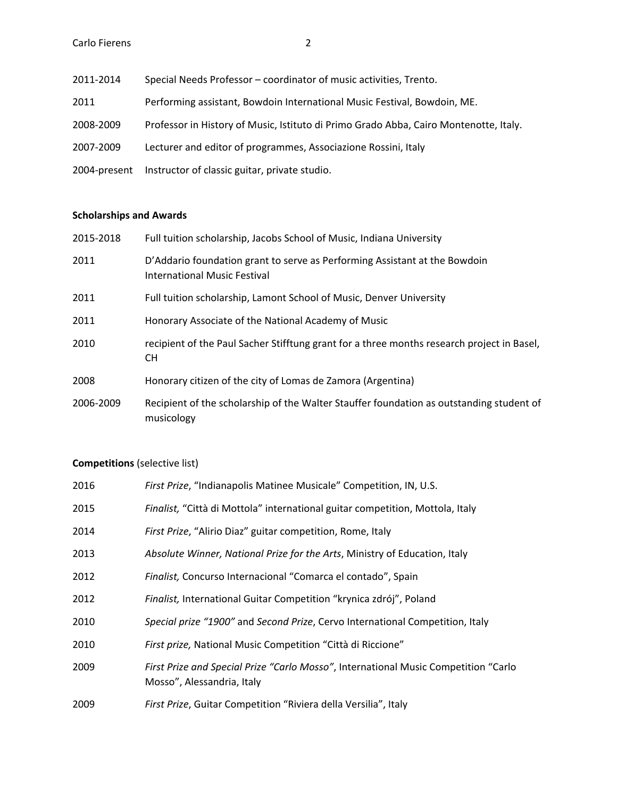2011-2014 Special Needs Professor – coordinator of music activities, Trento. 2011 Performing assistant, Bowdoin International Music Festival, Bowdoin, ME. 2008-2009 Professor in History of Music, Istituto di Primo Grado Abba, Cairo Montenotte, Italy. 2007-2009 Lecturer and editor of programmes, Associazione Rossini, Italy 2004-present Instructor of classic guitar, private studio.

### **Scholarships and Awards**

| 2015-2018 | Full tuition scholarship, Jacobs School of Music, Indiana University                                              |
|-----------|-------------------------------------------------------------------------------------------------------------------|
| 2011      | D'Addario foundation grant to serve as Performing Assistant at the Bowdoin<br><b>International Music Festival</b> |
| 2011      | Full tuition scholarship, Lamont School of Music, Denver University                                               |
| 2011      | Honorary Associate of the National Academy of Music                                                               |
| 2010      | recipient of the Paul Sacher Stifftung grant for a three months research project in Basel,<br>CH.                 |
| 2008      | Honorary citizen of the city of Lomas de Zamora (Argentina)                                                       |
| 2006-2009 | Recipient of the scholarship of the Walter Stauffer foundation as outstanding student of<br>musicology            |

### **Competitions** (selective list)

| 2016 | First Prize, "Indianapolis Matinee Musicale" Competition, IN, U.S.                                                |
|------|-------------------------------------------------------------------------------------------------------------------|
| 2015 | Finalist, "Città di Mottola" international guitar competition, Mottola, Italy                                     |
| 2014 | First Prize, "Alirio Diaz" guitar competition, Rome, Italy                                                        |
| 2013 | Absolute Winner, National Prize for the Arts, Ministry of Education, Italy                                        |
| 2012 | Finalist, Concurso Internacional "Comarca el contado", Spain                                                      |
| 2012 | Finalist, International Guitar Competition "krynica zdrój", Poland                                                |
| 2010 | Special prize "1900" and Second Prize, Cervo International Competition, Italy                                     |
| 2010 | First prize, National Music Competition "Città di Riccione"                                                       |
| 2009 | First Prize and Special Prize "Carlo Mosso", International Music Competition "Carlo<br>Mosso", Alessandria, Italy |
| 2009 | First Prize, Guitar Competition "Riviera della Versilia", Italy                                                   |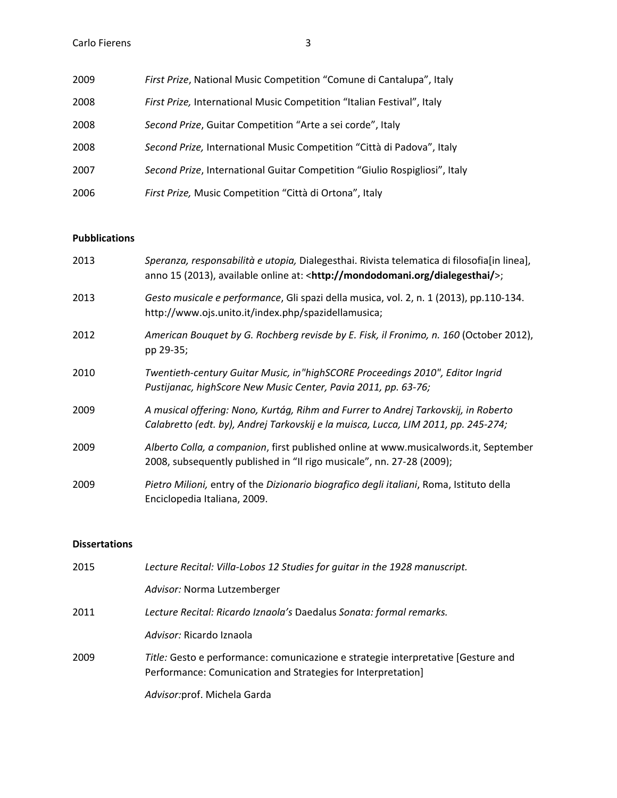| 2009 | First Prize, National Music Competition "Comune di Cantalupa", Italy       |
|------|----------------------------------------------------------------------------|
| 2008 | First Prize, International Music Competition "Italian Festival", Italy     |
| 2008 | Second Prize, Guitar Competition "Arte a sei corde", Italy                 |
| 2008 | Second Prize, International Music Competition "Città di Padova", Italy     |
| 2007 | Second Prize, International Guitar Competition "Giulio Rospigliosi", Italy |
| 2006 | First Prize, Music Competition "Città di Ortona", Italy                    |

### **Pubblications**

| 2013 | Speranza, responsabilità e utopia, Dialegesthai. Rivista telematica di filosofia[in linea],<br>anno 15 (2013), available online at: <http: dialegesthai="" mondodomani.org=""></http:> ; |
|------|------------------------------------------------------------------------------------------------------------------------------------------------------------------------------------------|
| 2013 | Gesto musicale e performance, Gli spazi della musica, vol. 2, n. 1 (2013), pp.110-134.<br>http://www.ojs.unito.it/index.php/spazidellamusica;                                            |
| 2012 | American Bouquet by G. Rochberg revisde by E. Fisk, il Fronimo, n. 160 (October 2012),<br>pp 29-35;                                                                                      |
| 2010 | Twentieth-century Guitar Music, in"highSCORE Proceedings 2010", Editor Ingrid<br>Pustijanac, highScore New Music Center, Pavia 2011, pp. 63-76;                                          |
| 2009 | A musical offering: Nono, Kurtág, Rihm and Furrer to Andrej Tarkovskij, in Roberto<br>Calabretto (edt. by), Andrej Tarkovskij e la muisca, Lucca, LIM 2011, pp. 245-274;                 |
| 2009 | Alberto Colla, a companion, first published online at www.musicalwords.it, September<br>2008, subsequently published in "Il rigo musicale", nn. 27-28 (2009);                            |
| 2009 | Pietro Milioni, entry of the Dizionario biografico degli italiani, Roma, Istituto della<br>Enciclopedia Italiana, 2009.                                                                  |

### **Dissertations**

| 2015 | Lecture Recital: Villa-Lobos 12 Studies for guitar in the 1928 manuscript.                                                                        |
|------|---------------------------------------------------------------------------------------------------------------------------------------------------|
|      | Advisor: Norma Lutzemberger                                                                                                                       |
| 2011 | Lecture Recital: Ricardo Iznaola's Daedalus Sonata: formal remarks.                                                                               |
|      | Advisor: Ricardo Iznaola                                                                                                                          |
| 2009 | Title: Gesto e performance: comunicazione e strategie interpretative [Gesture and<br>Performance: Comunication and Strategies for Interpretation] |
|      | Advisor: prof. Michela Garda                                                                                                                      |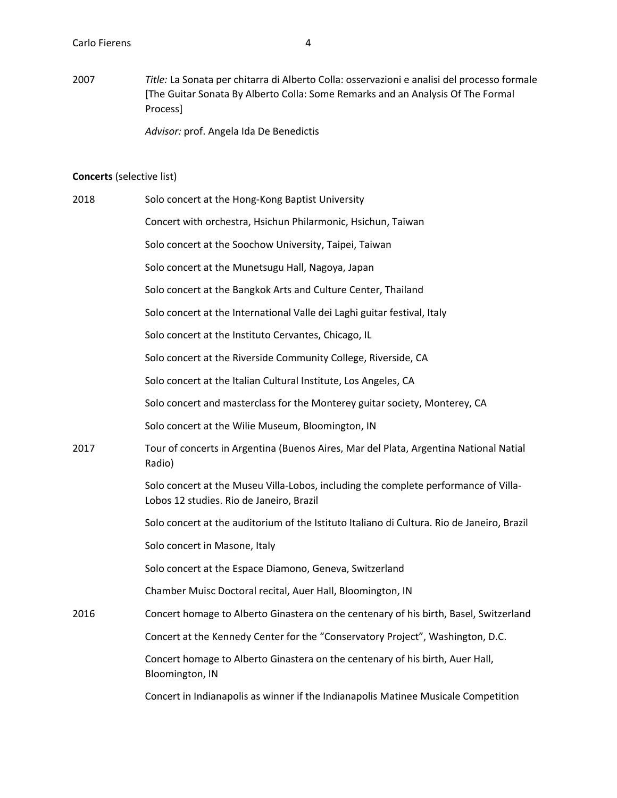2007 *Title:* La Sonata per chitarra di Alberto Colla: osservazioni e analisi del processo formale [The Guitar Sonata By Alberto Colla: Some Remarks and an Analysis Of The Formal Process]

*Advisor:* prof. Angela Ida De Benedictis

### **Concerts** (selective list)

| 2018 | Solo concert at the Hong-Kong Baptist University                                                                                |
|------|---------------------------------------------------------------------------------------------------------------------------------|
|      | Concert with orchestra, Hsichun Philarmonic, Hsichun, Taiwan                                                                    |
|      | Solo concert at the Soochow University, Taipei, Taiwan                                                                          |
|      | Solo concert at the Munetsugu Hall, Nagoya, Japan                                                                               |
|      | Solo concert at the Bangkok Arts and Culture Center, Thailand                                                                   |
|      | Solo concert at the International Valle dei Laghi guitar festival, Italy                                                        |
|      | Solo concert at the Instituto Cervantes, Chicago, IL                                                                            |
|      | Solo concert at the Riverside Community College, Riverside, CA                                                                  |
|      | Solo concert at the Italian Cultural Institute, Los Angeles, CA                                                                 |
|      | Solo concert and masterclass for the Monterey guitar society, Monterey, CA                                                      |
|      | Solo concert at the Wilie Museum, Bloomington, IN                                                                               |
| 2017 | Tour of concerts in Argentina (Buenos Aires, Mar del Plata, Argentina National Natial<br>Radio)                                 |
|      | Solo concert at the Museu Villa-Lobos, including the complete performance of Villa-<br>Lobos 12 studies. Rio de Janeiro, Brazil |
|      | Solo concert at the auditorium of the Istituto Italiano di Cultura. Rio de Janeiro, Brazil                                      |
|      | Solo concert in Masone, Italy                                                                                                   |
|      | Solo concert at the Espace Diamono, Geneva, Switzerland                                                                         |
|      | Chamber Muisc Doctoral recital, Auer Hall, Bloomington, IN                                                                      |
| 2016 | Concert homage to Alberto Ginastera on the centenary of his birth, Basel, Switzerland                                           |
|      | Concert at the Kennedy Center for the "Conservatory Project", Washington, D.C.                                                  |
|      | Concert homage to Alberto Ginastera on the centenary of his birth, Auer Hall,<br>Bloomington, IN                                |
|      | Concert in Indianapolis as winner if the Indianapolis Matinee Musicale Competition                                              |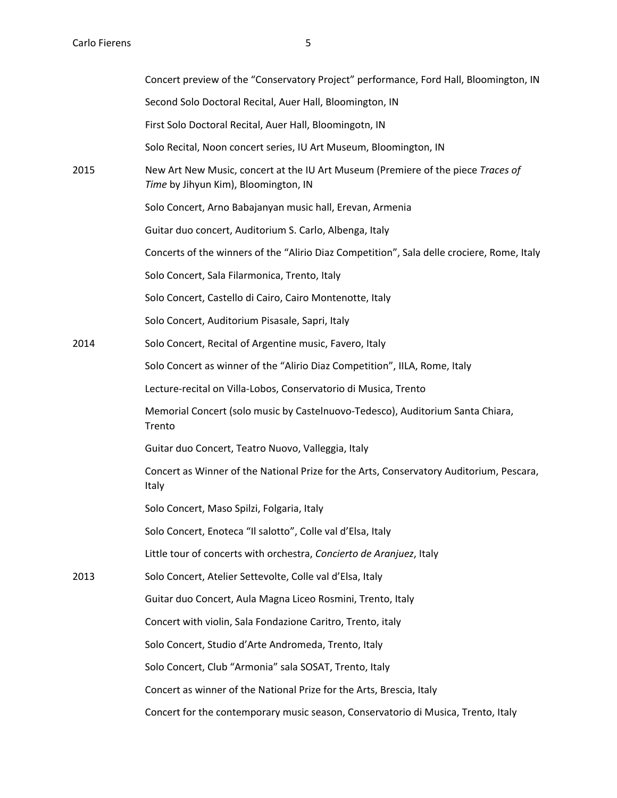|      | Concert preview of the "Conservatory Project" performance, Ford Hall, Bloomington, IN                                    |
|------|--------------------------------------------------------------------------------------------------------------------------|
|      | Second Solo Doctoral Recital, Auer Hall, Bloomington, IN                                                                 |
|      | First Solo Doctoral Recital, Auer Hall, Bloomingotn, IN                                                                  |
|      | Solo Recital, Noon concert series, IU Art Museum, Bloomington, IN                                                        |
| 2015 | New Art New Music, concert at the IU Art Museum (Premiere of the piece Traces of<br>Time by Jihyun Kim), Bloomington, IN |
|      | Solo Concert, Arno Babajanyan music hall, Erevan, Armenia                                                                |
|      | Guitar duo concert, Auditorium S. Carlo, Albenga, Italy                                                                  |
|      | Concerts of the winners of the "Alirio Diaz Competition", Sala delle crociere, Rome, Italy                               |
|      | Solo Concert, Sala Filarmonica, Trento, Italy                                                                            |
|      | Solo Concert, Castello di Cairo, Cairo Montenotte, Italy                                                                 |
|      | Solo Concert, Auditorium Pisasale, Sapri, Italy                                                                          |
| 2014 | Solo Concert, Recital of Argentine music, Favero, Italy                                                                  |
|      | Solo Concert as winner of the "Alirio Diaz Competition", IILA, Rome, Italy                                               |
|      | Lecture-recital on Villa-Lobos, Conservatorio di Musica, Trento                                                          |
|      | Memorial Concert (solo music by Castelnuovo-Tedesco), Auditorium Santa Chiara,<br>Trento                                 |
|      | Guitar duo Concert, Teatro Nuovo, Valleggia, Italy                                                                       |
|      | Concert as Winner of the National Prize for the Arts, Conservatory Auditorium, Pescara,<br>Italy                         |
|      | Solo Concert, Maso Spilzi, Folgaria, Italy                                                                               |
|      | Solo Concert, Enoteca "Il salotto", Colle val d'Elsa, Italy                                                              |
|      | Little tour of concerts with orchestra, Concierto de Aranjuez, Italy                                                     |
| 2013 | Solo Concert, Atelier Settevolte, Colle val d'Elsa, Italy                                                                |
|      | Guitar duo Concert, Aula Magna Liceo Rosmini, Trento, Italy                                                              |
|      | Concert with violin, Sala Fondazione Caritro, Trento, italy                                                              |
|      | Solo Concert, Studio d'Arte Andromeda, Trento, Italy                                                                     |
|      | Solo Concert, Club "Armonia" sala SOSAT, Trento, Italy                                                                   |
|      | Concert as winner of the National Prize for the Arts, Brescia, Italy                                                     |
|      | Concert for the contemporary music season, Conservatorio di Musica, Trento, Italy                                        |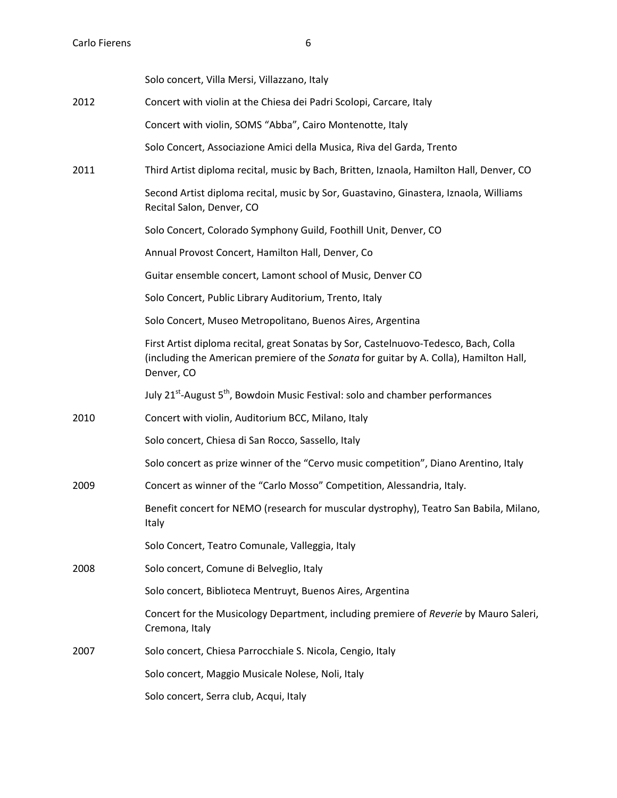|      | Solo concert, Villa Mersi, Villazzano, Italy                                                                                                                                                 |
|------|----------------------------------------------------------------------------------------------------------------------------------------------------------------------------------------------|
| 2012 | Concert with violin at the Chiesa dei Padri Scolopi, Carcare, Italy                                                                                                                          |
|      | Concert with violin, SOMS "Abba", Cairo Montenotte, Italy                                                                                                                                    |
|      | Solo Concert, Associazione Amici della Musica, Riva del Garda, Trento                                                                                                                        |
| 2011 | Third Artist diploma recital, music by Bach, Britten, Iznaola, Hamilton Hall, Denver, CO                                                                                                     |
|      | Second Artist diploma recital, music by Sor, Guastavino, Ginastera, Iznaola, Williams<br>Recital Salon, Denver, CO                                                                           |
|      | Solo Concert, Colorado Symphony Guild, Foothill Unit, Denver, CO                                                                                                                             |
|      | Annual Provost Concert, Hamilton Hall, Denver, Co                                                                                                                                            |
|      | Guitar ensemble concert, Lamont school of Music, Denver CO                                                                                                                                   |
|      | Solo Concert, Public Library Auditorium, Trento, Italy                                                                                                                                       |
|      | Solo Concert, Museo Metropolitano, Buenos Aires, Argentina                                                                                                                                   |
|      | First Artist diploma recital, great Sonatas by Sor, Castelnuovo-Tedesco, Bach, Colla<br>(including the American premiere of the Sonata for guitar by A. Colla), Hamilton Hall,<br>Denver, CO |
|      | July 21 <sup>st</sup> -August 5 <sup>th</sup> , Bowdoin Music Festival: solo and chamber performances                                                                                        |
| 2010 | Concert with violin, Auditorium BCC, Milano, Italy                                                                                                                                           |
|      | Solo concert, Chiesa di San Rocco, Sassello, Italy                                                                                                                                           |
|      | Solo concert as prize winner of the "Cervo music competition", Diano Arentino, Italy                                                                                                         |
| 2009 | Concert as winner of the "Carlo Mosso" Competition, Alessandria, Italy.                                                                                                                      |
|      | Benefit concert for NEMO (research for muscular dystrophy), Teatro San Babila, Milano,<br>Italy                                                                                              |
|      | Solo Concert, Teatro Comunale, Valleggia, Italy                                                                                                                                              |
| 2008 | Solo concert, Comune di Belveglio, Italy                                                                                                                                                     |
|      | Solo concert, Biblioteca Mentruyt, Buenos Aires, Argentina                                                                                                                                   |
|      | Concert for the Musicology Department, including premiere of Reverie by Mauro Saleri,<br>Cremona, Italy                                                                                      |
| 2007 | Solo concert, Chiesa Parrocchiale S. Nicola, Cengio, Italy                                                                                                                                   |
|      | Solo concert, Maggio Musicale Nolese, Noli, Italy                                                                                                                                            |
|      | Solo concert, Serra club, Acqui, Italy                                                                                                                                                       |